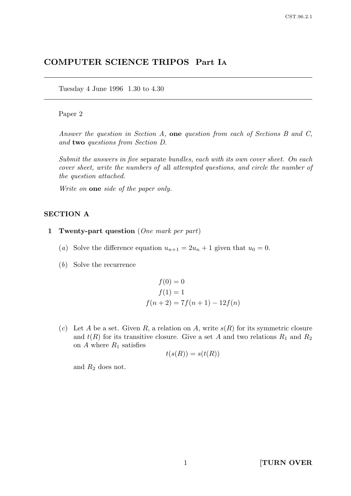# COMPUTER SCIENCE TRIPOS Part I<sup>A</sup>

Tuesday 4 June 1996 1.30 to 4.30

### Paper 2

Answer the question in Section A, one question from each of Sections B and C, and two questions from Section D.

Submit the answers in five separate bundles, each with its own cover sheet. On each cover sheet, write the numbers of all attempted questions, and circle the number of the question attached.

Write on **one** side of the paper only.

### SECTION A

- 1 Twenty-part question (One mark per part)
	- (a) Solve the difference equation  $u_{n+1} = 2u_n + 1$  given that  $u_0 = 0$ .
	- (b) Solve the recurrence

$$
f(0) = 0
$$
  
 
$$
f(1) = 1
$$
  
 
$$
f(n + 2) = 7f(n + 1) - 12f(n)
$$

(c) Let A be a set. Given R, a relation on A, write  $s(R)$  for its symmetric closure and  $t(R)$  for its transitive closure. Give a set A and two relations  $R_1$  and  $R_2$ on A where  $R_1$  satisfies

$$
t(s(R)) = s(t(R))
$$

and  $R_2$  does not.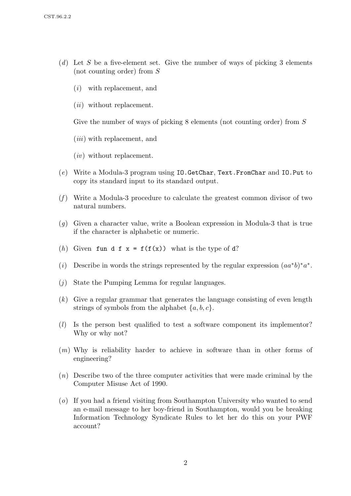- (d) Let S be a five-element set. Give the number of ways of picking 3 elements (not counting order) from S
	- (i) with replacement, and
	- (*ii*) without replacement.

Give the number of ways of picking 8 elements (not counting order) from S

- (*iii*) with replacement, and
- $(iv)$  without replacement.
- (e) Write a Modula-3 program using IO.GetChar, Text.FromChar and IO.Put to copy its standard input to its standard output.
- $(f)$  Write a Modula-3 procedure to calculate the greatest common divisor of two natural numbers.
- (g) Given a character value, write a Boolean expression in Modula-3 that is true if the character is alphabetic or numeric.
- (h) Given fun d f  $x = f(f(x))$  what is the type of d?
- (i) Describe in words the strings represented by the regular expression  $(aa^*b)^*a^*$ .
- (j) State the Pumping Lemma for regular languages.
- $(k)$  Give a regular grammar that generates the language consisting of even length strings of symbols from the alphabet  $\{a, b, c\}$ .
- (l) Is the person best qualified to test a software component its implementor? Why or why not?
- (m) Why is reliability harder to achieve in software than in other forms of engineering?
- (n) Describe two of the three computer activities that were made criminal by the Computer Misuse Act of 1990.
- (o) If you had a friend visiting from Southampton University who wanted to send an e-mail message to her boy-friend in Southampton, would you be breaking Information Technology Syndicate Rules to let her do this on your PWF account?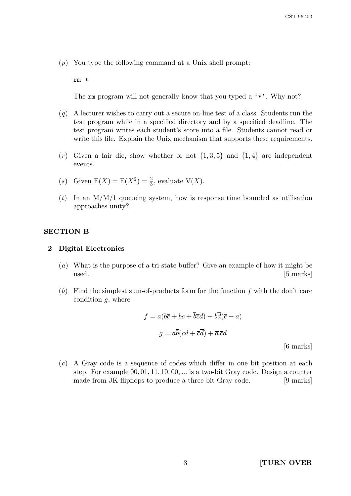(p) You type the following command at a Unix shell prompt:

rm \*

The rm program will not generally know that you typed a '\*'. Why not?

- $(q)$  A lecturer wishes to carry out a secure on-line test of a class. Students run the test program while in a specified directory and by a specified deadline. The test program writes each student's score into a file. Students cannot read or write this file. Explain the Unix mechanism that supports these requirements.
- (r) Given a fair die, show whether or not  $\{1,3,5\}$  and  $\{1,4\}$  are independent events.
- (s) Given  $E(X) = E(X^2) = \frac{2}{3}$ , evaluate  $V(X)$ .
- $(t)$  In an M/M/1 queueing system, how is response time bounded as utilisation approaches unity?

### SECTION B

### 2 Digital Electronics

- (a) What is the purpose of a tri-state buffer? Give an example of how it might be used. [5 marks]
- (b) Find the simplest sum-of-products form for the function  $f$  with the don't care condition  $q$ , where

$$
f = a(b\overline{c} + bc + \overline{b}\overline{c}d) + b\overline{d}(\overline{c} + a)
$$

$$
g = a\overline{b}(cd + \overline{c}\overline{d}) + \overline{a}\overline{c}d
$$

[6 marks]

(c) A Gray code is a sequence of codes which differ in one bit position at each step. For example 00, 01, 11, 10, 00, ... is a two-bit Gray code. Design a counter made from JK-flipflops to produce a three-bit Gray code. [9 marks]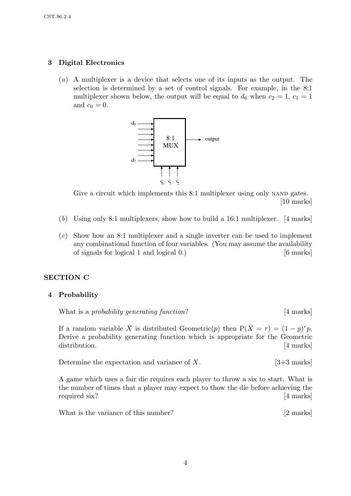# 3 Digital Electronics

(a) A multiplexer is a device that selects one of its inputs as the output. The selection is determined by a set of control signals. For example, in the 8:1 multiplexer shown below, the output will be equal to  $d_6$  when  $c_2 = 1, c_1 = 1$ and  $c_0 = 0$ .



Give a circuit which implements this 8:1 multiplexer using only NAND gates. [10 marks]

- (b) Using only 8:1 multiplexers, show how to build a 16:1 multiplexer. [4 marks]
- (c) Show how an 8:1 multiplexer and a single inverter can be used to implement any combinational function of four variables. (You may assume the availability of signals for logical 1 and logical 0.) [6 marks]

### SECTION C

### 4 Probability

What is a probability generating function? [4 marks]

If a random variable X is distributed Geometric(p) then  $P(X = r) = (1 - p)^r p$ . Derive a probability generating function which is appropriate for the Geometric distribution. [4 marks]

| Determine the expectation and variance of $X$ . | $[3+3$ marks |
|-------------------------------------------------|--------------|
|-------------------------------------------------|--------------|

A game which uses a fair die requires each player to throw a six to start. What is the number of times that a player may expect to thow the die before achieving the required six? [4 marks]

| What is the variance of this number? | $[2 \text{ marks}]$ |
|--------------------------------------|---------------------|
|--------------------------------------|---------------------|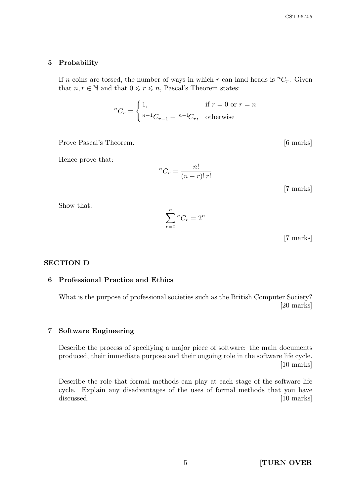#### 5 Probability

If n coins are tossed, the number of ways in which r can land heads is  ${}^nC_r$ . Given that  $n, r \in \mathbb{N}$  and that  $0 \leq r \leq n$ , Pascal's Theorem states:

$$
{}^{n}C_{r} = \begin{cases} 1, & \text{if } r = 0 \text{ or } r = n \\ {}^{n-1}C_{r-1} + {}^{n-1}C_{r}, & \text{otherwise} \end{cases}
$$

Prove Pascal's Theorem. [6 marks]

Hence prove that:

$$
{}^{n}C_{r} = \frac{n!}{(n-r)! \, r!}
$$

[7 marks]

Show that:

$$
\sum_{r=0}^{n} {}^{n}C_{r} = 2^{n}
$$

[7 marks]

### SECTION D

### 6 Professional Practice and Ethics

What is the purpose of professional societies such as the British Computer Society? [20 marks]

### 7 Software Engineering

Describe the process of specifying a major piece of software: the main documents produced, their immediate purpose and their ongoing role in the software life cycle. [10 marks]

Describe the role that formal methods can play at each stage of the software life cycle. Explain any disadvantages of the uses of formal methods that you have discussed. [10 marks]